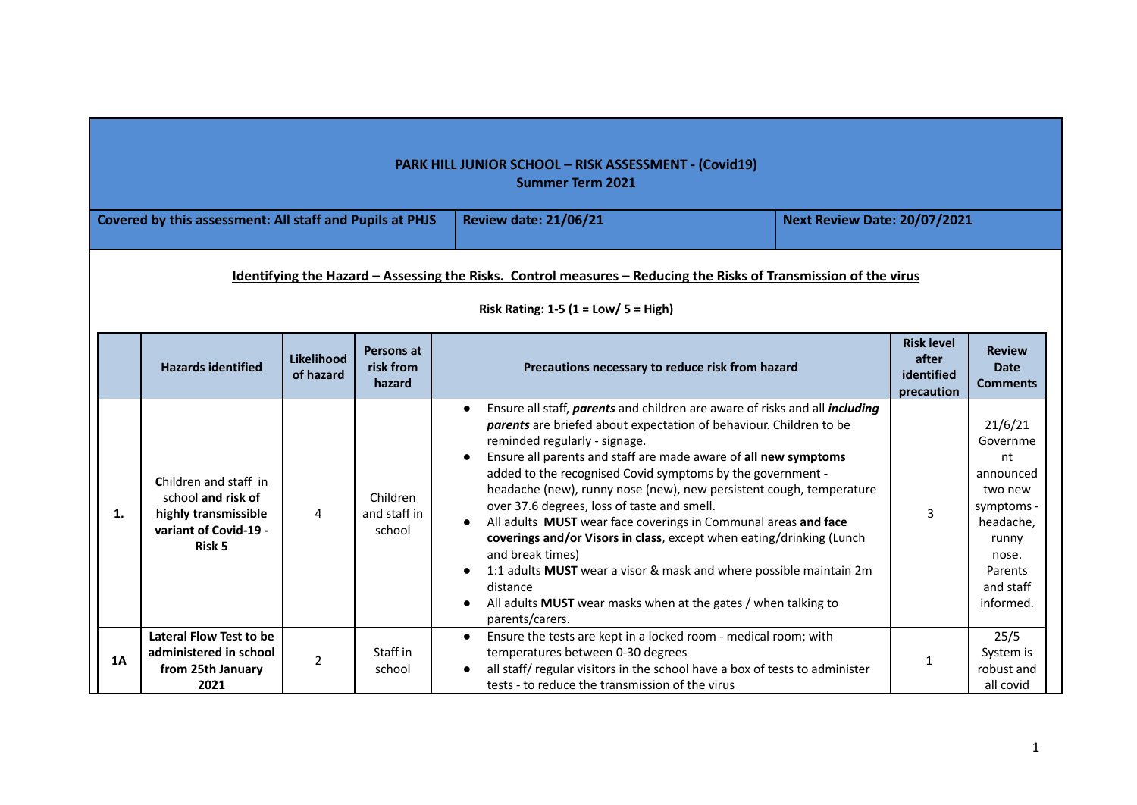|    |                                                                                                                                                                 |                         |                                    | <b>PARK HILL JUNIOR SCHOOL - RISK ASSESSMENT - (Covid19)</b><br><b>Summer Term 2021</b>                                                                                                                                                                                                                                                                                                                                                                                                                                                                                                                                                                                                                                                                                                     |                                                        |                                                                                                                                     |  |  |  |  |  |
|----|-----------------------------------------------------------------------------------------------------------------------------------------------------------------|-------------------------|------------------------------------|---------------------------------------------------------------------------------------------------------------------------------------------------------------------------------------------------------------------------------------------------------------------------------------------------------------------------------------------------------------------------------------------------------------------------------------------------------------------------------------------------------------------------------------------------------------------------------------------------------------------------------------------------------------------------------------------------------------------------------------------------------------------------------------------|--------------------------------------------------------|-------------------------------------------------------------------------------------------------------------------------------------|--|--|--|--|--|
|    | Covered by this assessment: All staff and Pupils at PHJS                                                                                                        |                         |                                    | <b>Review date: 21/06/21</b>                                                                                                                                                                                                                                                                                                                                                                                                                                                                                                                                                                                                                                                                                                                                                                | <b>Next Review Date: 20/07/2021</b>                    |                                                                                                                                     |  |  |  |  |  |
|    | Identifying the Hazard - Assessing the Risks. Control measures - Reducing the Risks of Transmission of the virus<br>Risk Rating: $1-5$ ( $1 = Low / 5 = High$ ) |                         |                                    |                                                                                                                                                                                                                                                                                                                                                                                                                                                                                                                                                                                                                                                                                                                                                                                             |                                                        |                                                                                                                                     |  |  |  |  |  |
|    | <b>Hazards identified</b>                                                                                                                                       | Likelihood<br>of hazard | Persons at<br>risk from<br>hazard  | Precautions necessary to reduce risk from hazard                                                                                                                                                                                                                                                                                                                                                                                                                                                                                                                                                                                                                                                                                                                                            | <b>Risk level</b><br>after<br>identified<br>precaution | <b>Review</b><br><b>Date</b><br><b>Comments</b>                                                                                     |  |  |  |  |  |
| 1. | Children and staff in<br>school and risk of<br>highly transmissible<br>variant of Covid-19 -<br>Risk 5                                                          | 4                       | Children<br>and staff in<br>school | Ensure all staff, parents and children are aware of risks and all including<br>parents are briefed about expectation of behaviour. Children to be<br>reminded regularly - signage.<br>Ensure all parents and staff are made aware of all new symptoms<br>added to the recognised Covid symptoms by the government -<br>headache (new), runny nose (new), new persistent cough, temperature<br>over 37.6 degrees, loss of taste and smell.<br>All adults MUST wear face coverings in Communal areas and face<br>coverings and/or Visors in class, except when eating/drinking (Lunch<br>and break times)<br>1:1 adults MUST wear a visor & mask and where possible maintain 2m<br>distance<br>All adults MUST wear masks when at the gates / when talking to<br>$\bullet$<br>parents/carers. | 3                                                      | 21/6/21<br>Governme<br>nt<br>announced<br>two new<br>symptoms -<br>headache,<br>runny<br>nose.<br>Parents<br>and staff<br>informed. |  |  |  |  |  |
| 1A | Lateral Flow Test to be<br>administered in school<br>from 25th January<br>2021                                                                                  | $\overline{2}$          | Staff in<br>school                 | Ensure the tests are kept in a locked room - medical room; with<br>$\bullet$<br>temperatures between 0-30 degrees<br>all staff/regular visitors in the school have a box of tests to administer<br>tests - to reduce the transmission of the virus                                                                                                                                                                                                                                                                                                                                                                                                                                                                                                                                          | 1                                                      | 25/5<br>System is<br>robust and<br>all covid                                                                                        |  |  |  |  |  |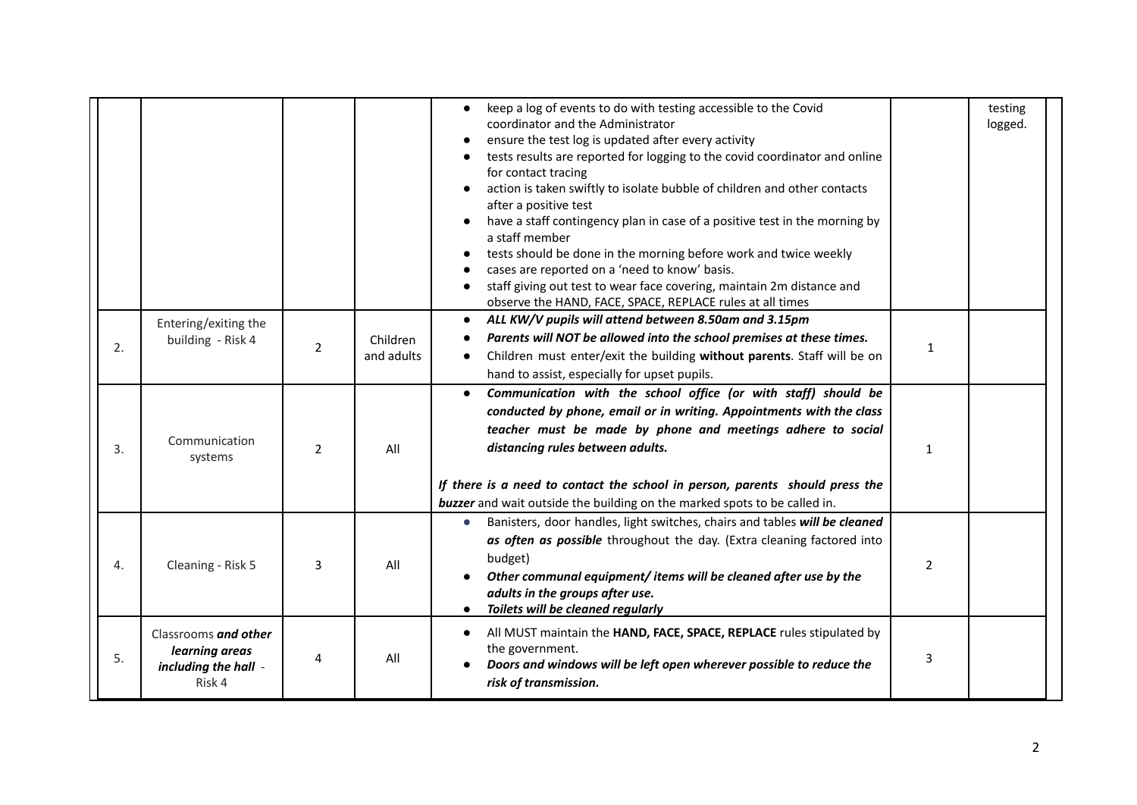|    |                                                                          |                |                        | keep a log of events to do with testing accessible to the Covid<br>coordinator and the Administrator<br>ensure the test log is updated after every activity<br>tests results are reported for logging to the covid coordinator and online<br>for contact tracing<br>action is taken swiftly to isolate bubble of children and other contacts<br>after a positive test<br>have a staff contingency plan in case of a positive test in the morning by<br>a staff member<br>tests should be done in the morning before work and twice weekly<br>cases are reported on a 'need to know' basis.<br>staff giving out test to wear face covering, maintain 2m distance and<br>observe the HAND, FACE, SPACE, REPLACE rules at all times |              | testing<br>logged. |
|----|--------------------------------------------------------------------------|----------------|------------------------|----------------------------------------------------------------------------------------------------------------------------------------------------------------------------------------------------------------------------------------------------------------------------------------------------------------------------------------------------------------------------------------------------------------------------------------------------------------------------------------------------------------------------------------------------------------------------------------------------------------------------------------------------------------------------------------------------------------------------------|--------------|--------------------|
| 2. | Entering/exiting the<br>building - Risk 4                                | $\overline{2}$ | Children<br>and adults | ALL KW/V pupils will attend between 8.50am and 3.15pm<br>$\bullet$<br>Parents will NOT be allowed into the school premises at these times.<br>Children must enter/exit the building without parents. Staff will be on<br>$\bullet$<br>hand to assist, especially for upset pupils.                                                                                                                                                                                                                                                                                                                                                                                                                                               | $\mathbf{1}$ |                    |
| 3. | Communication<br>systems                                                 | $\overline{2}$ | All                    | Communication with the school office (or with staff) should be<br>conducted by phone, email or in writing. Appointments with the class<br>teacher must be made by phone and meetings adhere to social<br>distancing rules between adults.<br>If there is a need to contact the school in person, parents should press the<br>buzzer and wait outside the building on the marked spots to be called in.                                                                                                                                                                                                                                                                                                                           | $\mathbf{1}$ |                    |
| 4. | Cleaning - Risk 5                                                        | 3              | All                    | Banisters, door handles, light switches, chairs and tables will be cleaned<br>$\bullet$<br>as often as possible throughout the day. (Extra cleaning factored into<br>budget)<br>Other communal equipment/ items will be cleaned after use by the<br>adults in the groups after use.<br>Toilets will be cleaned regularly                                                                                                                                                                                                                                                                                                                                                                                                         | 2            |                    |
| 5. | Classrooms and other<br>learning areas<br>including the hall -<br>Risk 4 | 4              | All                    | All MUST maintain the HAND, FACE, SPACE, REPLACE rules stipulated by<br>the government.<br>Doors and windows will be left open wherever possible to reduce the<br>risk of transmission.                                                                                                                                                                                                                                                                                                                                                                                                                                                                                                                                          | 3            |                    |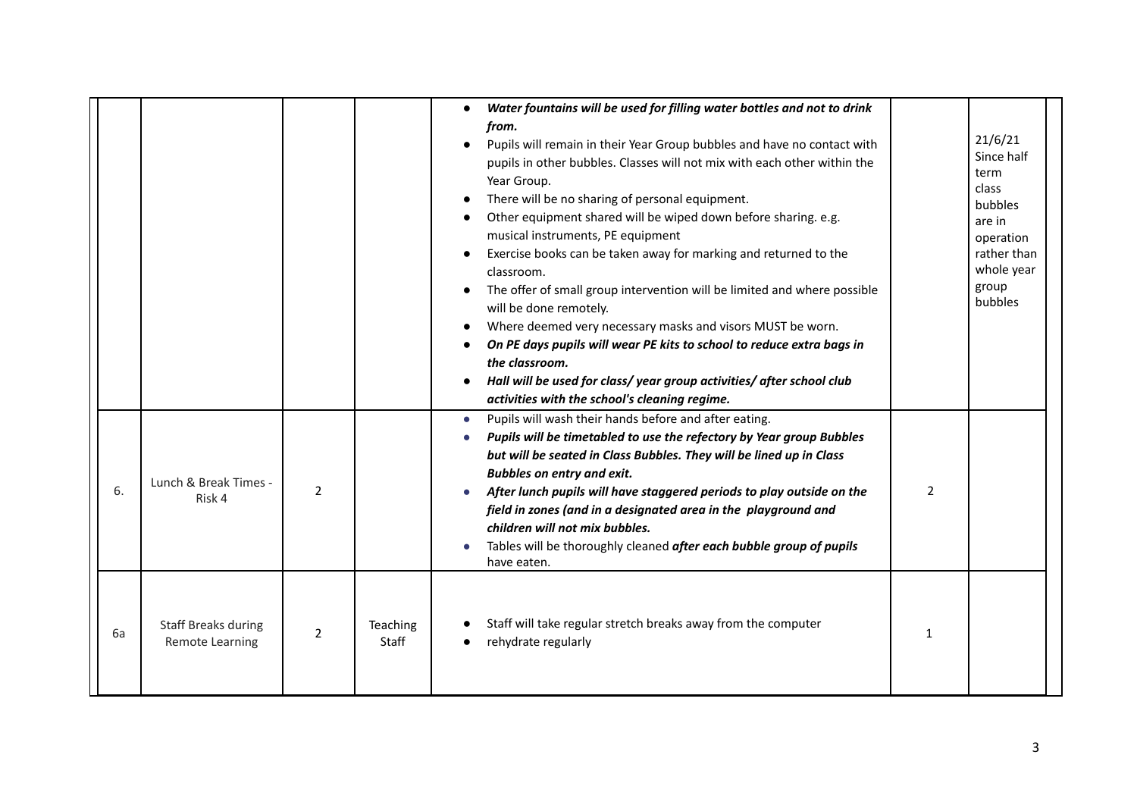|    |                                               |                |                   | Water fountains will be used for filling water bottles and not to drink<br>$\bullet$<br>from.<br>Pupils will remain in their Year Group bubbles and have no contact with<br>pupils in other bubbles. Classes will not mix with each other within the<br>Year Group.<br>There will be no sharing of personal equipment.<br>Other equipment shared will be wiped down before sharing. e.g.<br>musical instruments, PE equipment<br>Exercise books can be taken away for marking and returned to the<br>classroom.<br>The offer of small group intervention will be limited and where possible<br>will be done remotely.<br>Where deemed very necessary masks and visors MUST be worn.<br>On PE days pupils will wear PE kits to school to reduce extra bags in<br>the classroom.<br>Hall will be used for class/year group activities/after school club<br>activities with the school's cleaning regime. |                | 21/6/21<br>Since half<br>term<br>class<br>bubbles<br>are in<br>operation<br>rather than<br>whole year<br>group<br>bubbles |
|----|-----------------------------------------------|----------------|-------------------|--------------------------------------------------------------------------------------------------------------------------------------------------------------------------------------------------------------------------------------------------------------------------------------------------------------------------------------------------------------------------------------------------------------------------------------------------------------------------------------------------------------------------------------------------------------------------------------------------------------------------------------------------------------------------------------------------------------------------------------------------------------------------------------------------------------------------------------------------------------------------------------------------------|----------------|---------------------------------------------------------------------------------------------------------------------------|
| 6. | Lunch & Break Times -<br>Risk 4               | $\overline{2}$ |                   | Pupils will wash their hands before and after eating.<br>$\bullet$<br>Pupils will be timetabled to use the refectory by Year group Bubbles<br>but will be seated in Class Bubbles. They will be lined up in Class<br><b>Bubbles on entry and exit.</b><br>After lunch pupils will have staggered periods to play outside on the<br>field in zones (and in a designated area in the playground and<br>children will not mix bubbles.<br>Tables will be thoroughly cleaned after each bubble group of pupils<br>have eaten.                                                                                                                                                                                                                                                                                                                                                                              | $\overline{2}$ |                                                                                                                           |
| 6а | <b>Staff Breaks during</b><br>Remote Learning | $\overline{2}$ | Teaching<br>Staff | Staff will take regular stretch breaks away from the computer<br>rehydrate regularly                                                                                                                                                                                                                                                                                                                                                                                                                                                                                                                                                                                                                                                                                                                                                                                                                   | 1              |                                                                                                                           |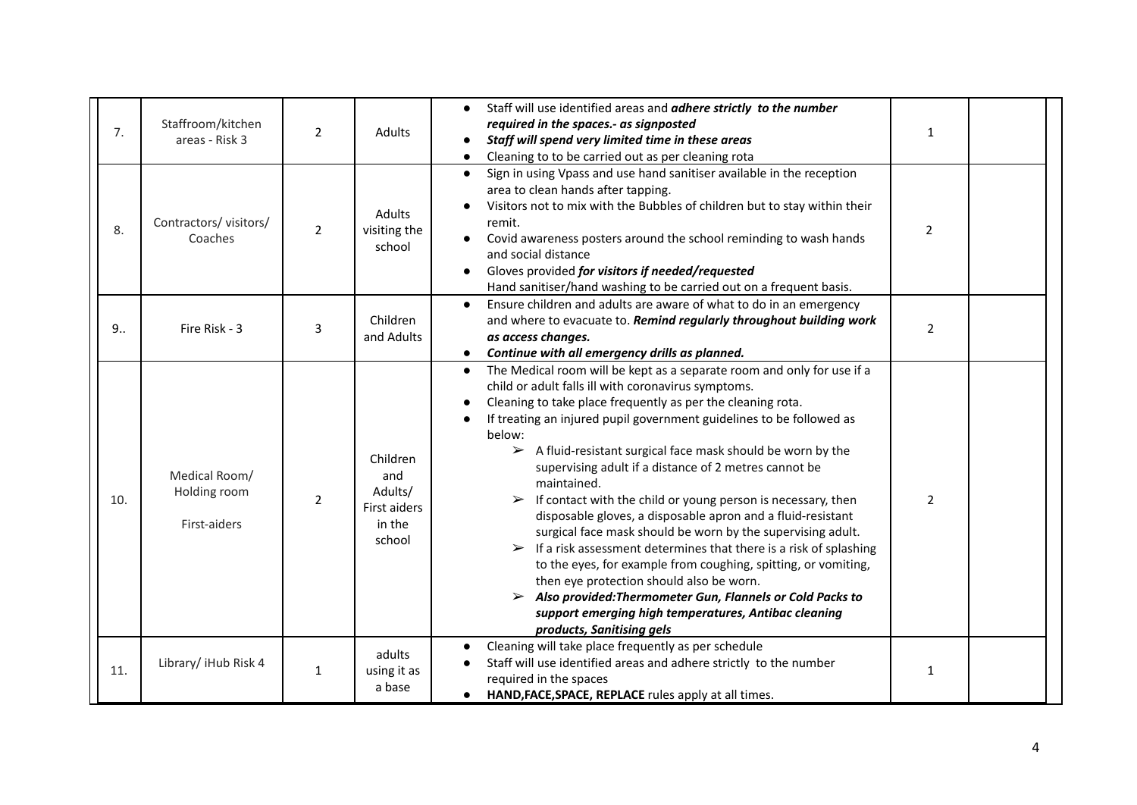| 7.  | Staffroom/kitchen<br>areas - Risk 3           | $\overline{2}$ | <b>Adults</b>                                                  | Staff will use identified areas and adhere strictly to the number<br>required in the spaces.- as signposted<br>Staff will spend very limited time in these areas<br>Cleaning to to be carried out as per cleaning rota                                                                                                                                                                                                                                                                                                                                                                                                                                                                                                                                                                                                                                                                                                                                                                                                                   | $\mathbf{1}$   |  |
|-----|-----------------------------------------------|----------------|----------------------------------------------------------------|------------------------------------------------------------------------------------------------------------------------------------------------------------------------------------------------------------------------------------------------------------------------------------------------------------------------------------------------------------------------------------------------------------------------------------------------------------------------------------------------------------------------------------------------------------------------------------------------------------------------------------------------------------------------------------------------------------------------------------------------------------------------------------------------------------------------------------------------------------------------------------------------------------------------------------------------------------------------------------------------------------------------------------------|----------------|--|
| 8.  | Contractors/visitors/<br>Coaches              | $\overline{2}$ | Adults<br>visiting the<br>school                               | Sign in using Vpass and use hand sanitiser available in the reception<br>$\bullet$<br>area to clean hands after tapping.<br>Visitors not to mix with the Bubbles of children but to stay within their<br>remit.<br>Covid awareness posters around the school reminding to wash hands<br>and social distance<br>Gloves provided for visitors if needed/requested<br>Hand sanitiser/hand washing to be carried out on a frequent basis.                                                                                                                                                                                                                                                                                                                                                                                                                                                                                                                                                                                                    | $\overline{2}$ |  |
| 9   | Fire Risk - 3                                 | 3              | Children<br>and Adults                                         | Ensure children and adults are aware of what to do in an emergency<br>$\bullet$<br>and where to evacuate to. Remind regularly throughout building work<br>as access changes.<br>Continue with all emergency drills as planned.<br>$\bullet$                                                                                                                                                                                                                                                                                                                                                                                                                                                                                                                                                                                                                                                                                                                                                                                              | $\overline{2}$ |  |
| 10. | Medical Room/<br>Holding room<br>First-aiders | 2              | Children<br>and<br>Adults/<br>First aiders<br>in the<br>school | The Medical room will be kept as a separate room and only for use if a<br>$\bullet$<br>child or adult falls ill with coronavirus symptoms.<br>Cleaning to take place frequently as per the cleaning rota.<br>If treating an injured pupil government guidelines to be followed as<br>below:<br>$\triangleright$ A fluid-resistant surgical face mask should be worn by the<br>supervising adult if a distance of 2 metres cannot be<br>maintained.<br>$\triangleright$ If contact with the child or young person is necessary, then<br>disposable gloves, a disposable apron and a fluid-resistant<br>surgical face mask should be worn by the supervising adult.<br>$\triangleright$ If a risk assessment determines that there is a risk of splashing<br>to the eyes, for example from coughing, spitting, or vomiting,<br>then eye protection should also be worn.<br>$\triangleright$ Also provided: Thermometer Gun, Flannels or Cold Packs to<br>support emerging high temperatures, Antibac cleaning<br>products, Sanitising gels | $\overline{2}$ |  |
| 11. | Library/ iHub Risk 4                          | $\mathbf{1}$   | adults<br>using it as<br>a base                                | Cleaning will take place frequently as per schedule<br>$\bullet$<br>Staff will use identified areas and adhere strictly to the number<br>required in the spaces<br>HAND, FACE, SPACE, REPLACE rules apply at all times.<br>$\bullet$                                                                                                                                                                                                                                                                                                                                                                                                                                                                                                                                                                                                                                                                                                                                                                                                     | $\mathbf{1}$   |  |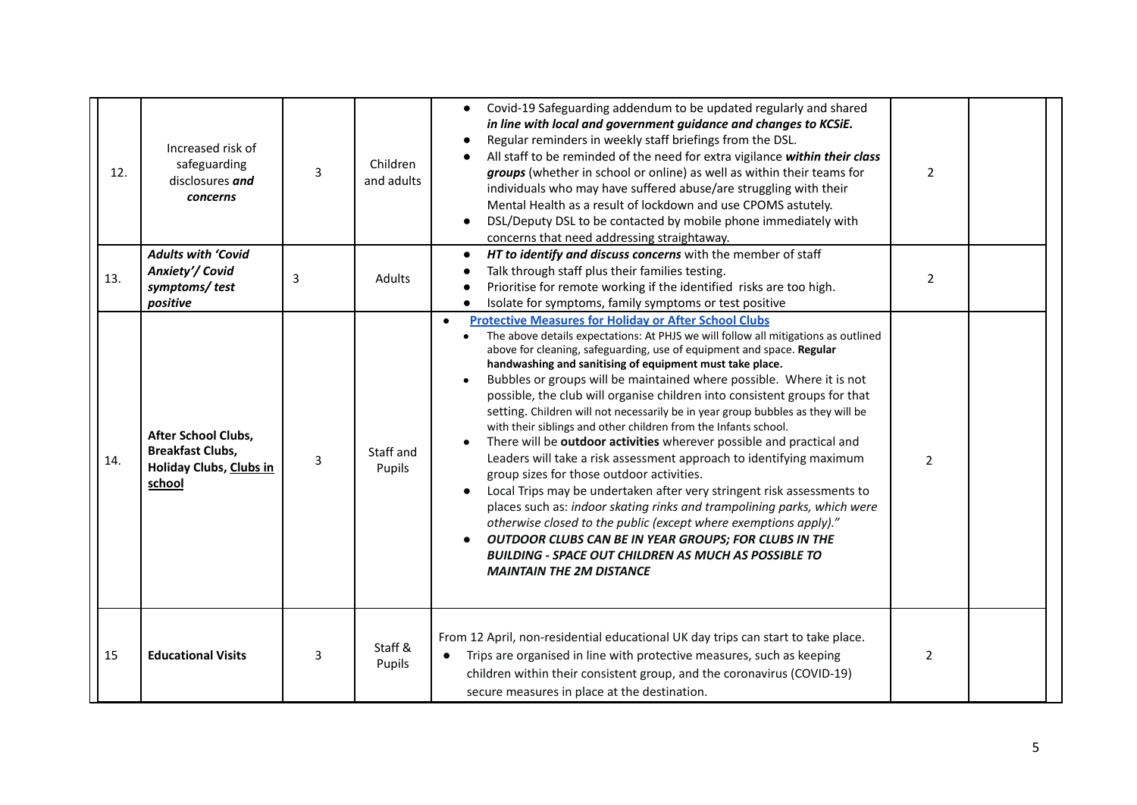| 12. | Increased risk of<br>safeguarding<br>disclosures and<br>concerns                    | $\overline{3}$ | Children<br>and adults | Covid-19 Safeguarding addendum to be updated regularly and shared<br>in line with local and government guidance and changes to KCSiE.<br>Regular reminders in weekly staff briefings from the DSL.<br>All staff to be reminded of the need for extra vigilance within their class<br>groups (whether in school or online) as well as within their teams for<br>individuals who may have suffered abuse/are struggling with their<br>Mental Health as a result of lockdown and use CPOMS astutely.<br>DSL/Deputy DSL to be contacted by mobile phone immediately with<br>concerns that need addressing straightaway.                                                                                                                                                                                                                                                                                                                                                                                                                                                                                                                                                                             | $\overline{2}$ |  |
|-----|-------------------------------------------------------------------------------------|----------------|------------------------|-------------------------------------------------------------------------------------------------------------------------------------------------------------------------------------------------------------------------------------------------------------------------------------------------------------------------------------------------------------------------------------------------------------------------------------------------------------------------------------------------------------------------------------------------------------------------------------------------------------------------------------------------------------------------------------------------------------------------------------------------------------------------------------------------------------------------------------------------------------------------------------------------------------------------------------------------------------------------------------------------------------------------------------------------------------------------------------------------------------------------------------------------------------------------------------------------|----------------|--|
| 13. | <b>Adults with 'Covid</b><br>Anxiety'/ Covid<br>symptoms/test<br>positive           | 3              | Adults                 | HT to identify and discuss concerns with the member of staff<br>Talk through staff plus their families testing.<br>Prioritise for remote working if the identified risks are too high.<br>Isolate for symptoms, family symptoms or test positive                                                                                                                                                                                                                                                                                                                                                                                                                                                                                                                                                                                                                                                                                                                                                                                                                                                                                                                                                | $\overline{2}$ |  |
| 14. | After School Clubs,<br><b>Breakfast Clubs,</b><br>Holiday Clubs, Clubs in<br>school | $\overline{3}$ | Staff and<br>Pupils    | <b>Protective Measures for Holiday or After School Clubs</b><br>$\bullet$<br>The above details expectations: At PHJS we will follow all mitigations as outlined<br>above for cleaning, safeguarding, use of equipment and space. Regular<br>handwashing and sanitising of equipment must take place.<br>Bubbles or groups will be maintained where possible. Where it is not<br>possible, the club will organise children into consistent groups for that<br>setting. Children will not necessarily be in year group bubbles as they will be<br>with their siblings and other children from the Infants school.<br>There will be outdoor activities wherever possible and practical and<br>Leaders will take a risk assessment approach to identifying maximum<br>group sizes for those outdoor activities.<br>Local Trips may be undertaken after very stringent risk assessments to<br>places such as: indoor skating rinks and trampolining parks, which were<br>otherwise closed to the public (except where exemptions apply)."<br>OUTDOOR CLUBS CAN BE IN YEAR GROUPS; FOR CLUBS IN THE<br><b>BUILDING - SPACE OUT CHILDREN AS MUCH AS POSSIBLE TO</b><br><b>MAINTAIN THE 2M DISTANCE</b> | $\overline{2}$ |  |
| 15  | <b>Educational Visits</b>                                                           | 3              | Staff &<br>Pupils      | From 12 April, non-residential educational UK day trips can start to take place.<br>Trips are organised in line with protective measures, such as keeping<br>$\bullet$<br>children within their consistent group, and the coronavirus (COVID-19)<br>secure measures in place at the destination.                                                                                                                                                                                                                                                                                                                                                                                                                                                                                                                                                                                                                                                                                                                                                                                                                                                                                                | $\overline{2}$ |  |